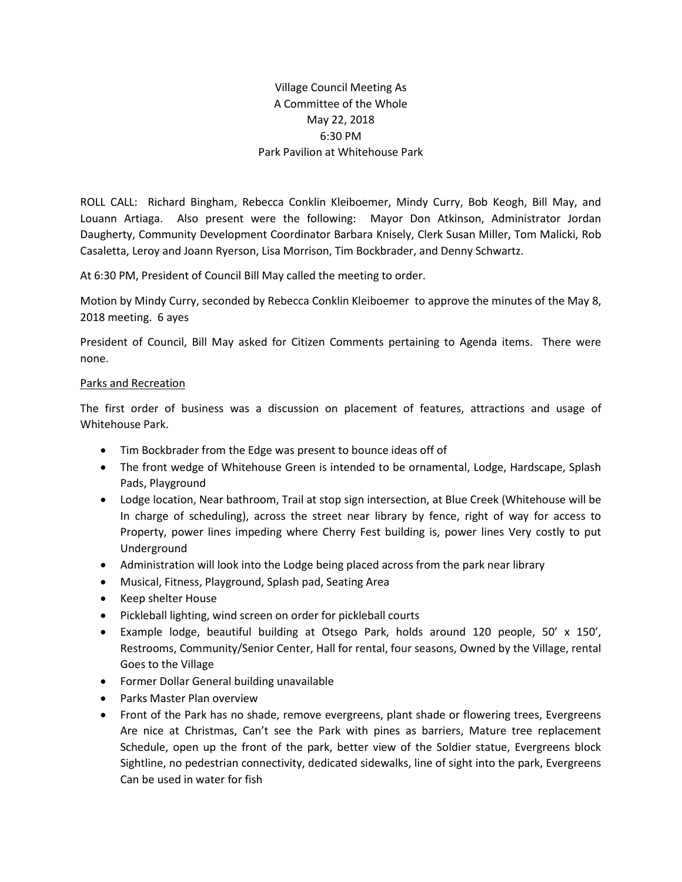## Village Council Meeting As A Committee of the Whole May 22, 2018 6:30 PM Park Pavilion at Whitehouse Park

ROLL CALL: Richard Bingham, Rebecca Conklin Kleiboemer, Mindy Curry, Bob Keogh, Bill May, and Louann Artiaga. Also present were the following: Mayor Don Atkinson, Administrator Jordan Daugherty, Community Development Coordinator Barbara Knisely, Clerk Susan Miller, Tom Malicki, Rob Casaletta, Leroy and Joann Ryerson, Lisa Morrison, Tim Bockbrader, and Denny Schwartz.

At 6:30 PM, President of Council Bill May called the meeting to order.

Motion by Mindy Curry, seconded by Rebecca Conklin Kleiboemer to approve the minutes of the May 8, 2018 meeting. 6 ayes

President of Council, Bill May asked for Citizen Comments pertaining to Agenda items. There were none.

## Parks and Recreation

The first order of business was a discussion on placement of features, attractions and usage of Whitehouse Park.

- Tim Bockbrader from the Edge was present to bounce ideas off of
- The front wedge of Whitehouse Green is intended to be ornamental, Lodge, Hardscape, Splash Pads, Playground
- Lodge location, Near bathroom, Trail at stop sign intersection, at Blue Creek (Whitehouse will be In charge of scheduling), across the street near library by fence, right of way for access to Property, power lines impeding where Cherry Fest building is, power lines Very costly to put Underground
- Administration will look into the Lodge being placed across from the park near library
- Musical, Fitness, Playground, Splash pad, Seating Area
- Keep shelter House
- Pickleball lighting, wind screen on order for pickleball courts
- Example lodge, beautiful building at Otsego Park, holds around 120 people, 50' x 150', Restrooms, Community/Senior Center, Hall for rental, four seasons, Owned by the Village, rental Goes to the Village
- Former Dollar General building unavailable
- Parks Master Plan overview
- Front of the Park has no shade, remove evergreens, plant shade or flowering trees, Evergreens Are nice at Christmas, Can't see the Park with pines as barriers, Mature tree replacement Schedule, open up the front of the park, better view of the Soldier statue, Evergreens block Sightline, no pedestrian connectivity, dedicated sidewalks, line of sight into the park, Evergreens Can be used in water for fish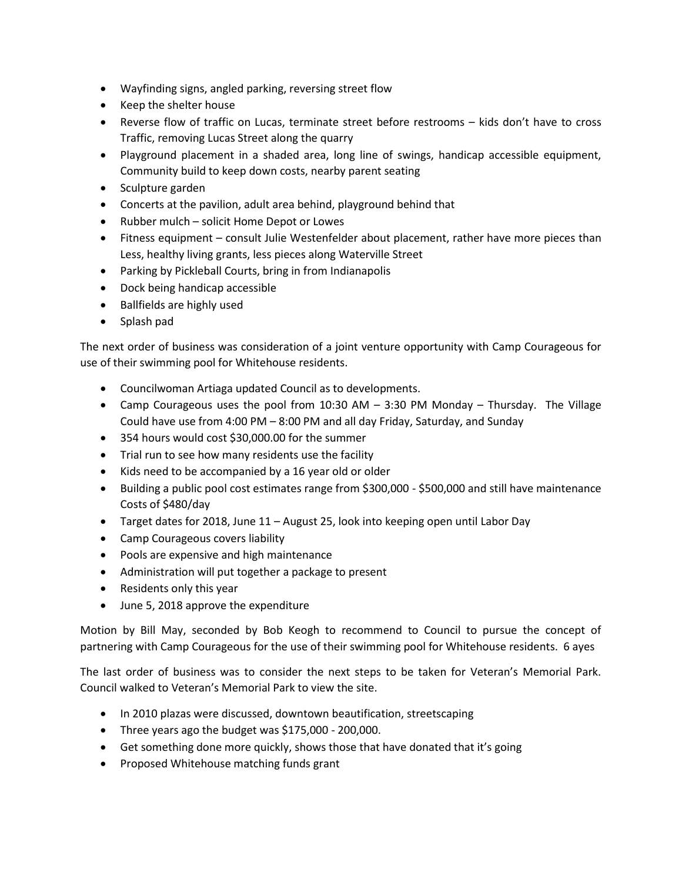- Wayfinding signs, angled parking, reversing street flow
- Keep the shelter house
- Reverse flow of traffic on Lucas, terminate street before restrooms kids don't have to cross Traffic, removing Lucas Street along the quarry
- Playground placement in a shaded area, long line of swings, handicap accessible equipment, Community build to keep down costs, nearby parent seating
- Sculpture garden
- Concerts at the pavilion, adult area behind, playground behind that
- Rubber mulch solicit Home Depot or Lowes
- Fitness equipment consult Julie Westenfelder about placement, rather have more pieces than Less, healthy living grants, less pieces along Waterville Street
- Parking by Pickleball Courts, bring in from Indianapolis
- Dock being handicap accessible
- Ballfields are highly used
- Splash pad

The next order of business was consideration of a joint venture opportunity with Camp Courageous for use of their swimming pool for Whitehouse residents.

- Councilwoman Artiaga updated Council as to developments.
- Camp Courageous uses the pool from 10:30 AM 3:30 PM Monday Thursday. The Village Could have use from 4:00 PM – 8:00 PM and all day Friday, Saturday, and Sunday
- 354 hours would cost \$30,000.00 for the summer
- Trial run to see how many residents use the facility
- Kids need to be accompanied by a 16 year old or older
- Building a public pool cost estimates range from \$300,000 \$500,000 and still have maintenance Costs of \$480/day
- Target dates for 2018, June 11 August 25, look into keeping open until Labor Day
- Camp Courageous covers liability
- Pools are expensive and high maintenance
- Administration will put together a package to present
- Residents only this year
- June 5, 2018 approve the expenditure

Motion by Bill May, seconded by Bob Keogh to recommend to Council to pursue the concept of partnering with Camp Courageous for the use of their swimming pool for Whitehouse residents. 6 ayes

The last order of business was to consider the next steps to be taken for Veteran's Memorial Park. Council walked to Veteran's Memorial Park to view the site.

- In 2010 plazas were discussed, downtown beautification, streetscaping
- Three years ago the budget was \$175,000 200,000.
- Get something done more quickly, shows those that have donated that it's going
- Proposed Whitehouse matching funds grant